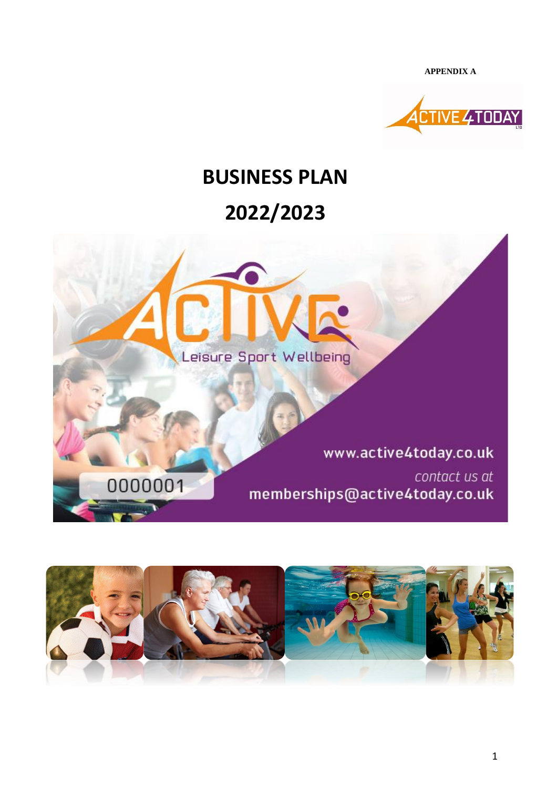**APPENDIX A**



# **BUSINESS PLAN**

## **2022/2023**



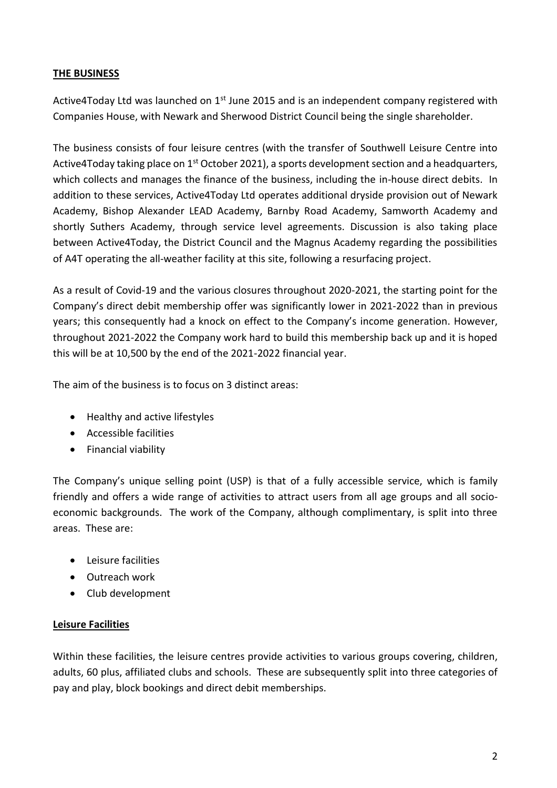#### **THE BUSINESS**

Active4Today Ltd was launched on  $1<sup>st</sup>$  June 2015 and is an independent company registered with Companies House, with Newark and Sherwood District Council being the single shareholder.

The business consists of four leisure centres (with the transfer of Southwell Leisure Centre into Active4Today taking place on 1<sup>st</sup> October 2021), a sports development section and a headquarters, which collects and manages the finance of the business, including the in-house direct debits. In addition to these services, Active4Today Ltd operates additional dryside provision out of Newark Academy, Bishop Alexander LEAD Academy, Barnby Road Academy, Samworth Academy and shortly Suthers Academy, through service level agreements. Discussion is also taking place between Active4Today, the District Council and the Magnus Academy regarding the possibilities of A4T operating the all-weather facility at this site, following a resurfacing project.

As a result of Covid-19 and the various closures throughout 2020-2021, the starting point for the Company's direct debit membership offer was significantly lower in 2021-2022 than in previous years; this consequently had a knock on effect to the Company's income generation. However, throughout 2021-2022 the Company work hard to build this membership back up and it is hoped this will be at 10,500 by the end of the 2021-2022 financial year.

The aim of the business is to focus on 3 distinct areas:

- Healthy and active lifestyles
- Accessible facilities
- Financial viability

The Company's unique selling point (USP) is that of a fully accessible service, which is family friendly and offers a wide range of activities to attract users from all age groups and all socioeconomic backgrounds. The work of the Company, although complimentary, is split into three areas. These are:

- Leisure facilities
- Outreach work
- Club development

#### **Leisure Facilities**

Within these facilities, the leisure centres provide activities to various groups covering, children, adults, 60 plus, affiliated clubs and schools. These are subsequently split into three categories of pay and play, block bookings and direct debit memberships.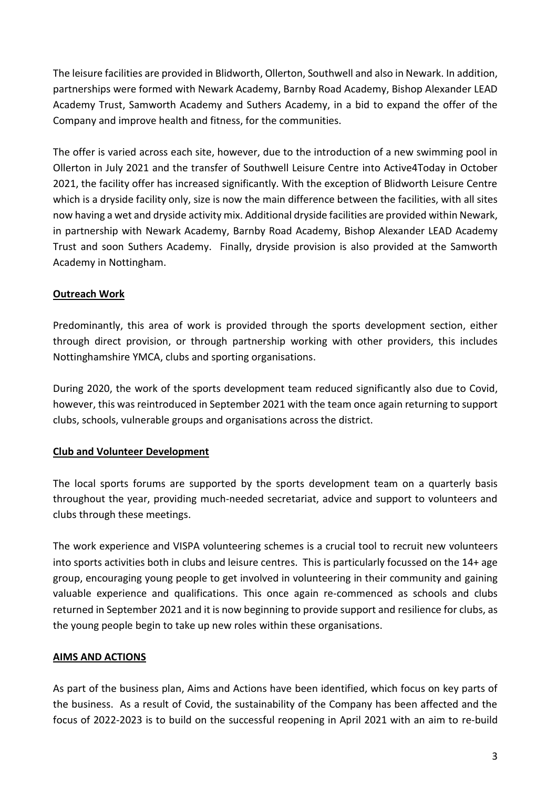The leisure facilities are provided in Blidworth, Ollerton, Southwell and also in Newark. In addition, partnerships were formed with Newark Academy, Barnby Road Academy, Bishop Alexander LEAD Academy Trust, Samworth Academy and Suthers Academy, in a bid to expand the offer of the Company and improve health and fitness, for the communities.

The offer is varied across each site, however, due to the introduction of a new swimming pool in Ollerton in July 2021 and the transfer of Southwell Leisure Centre into Active4Today in October 2021, the facility offer has increased significantly. With the exception of Blidworth Leisure Centre which is a dryside facility only, size is now the main difference between the facilities, with all sites now having a wet and dryside activity mix. Additional dryside facilities are provided within Newark, in partnership with Newark Academy, Barnby Road Academy, Bishop Alexander LEAD Academy Trust and soon Suthers Academy. Finally, dryside provision is also provided at the Samworth Academy in Nottingham.

### **Outreach Work**

Predominantly, this area of work is provided through the sports development section, either through direct provision, or through partnership working with other providers, this includes Nottinghamshire YMCA, clubs and sporting organisations.

During 2020, the work of the sports development team reduced significantly also due to Covid, however, this was reintroduced in September 2021 with the team once again returning to support clubs, schools, vulnerable groups and organisations across the district.

#### **Club and Volunteer Development**

The local sports forums are supported by the sports development team on a quarterly basis throughout the year, providing much-needed secretariat, advice and support to volunteers and clubs through these meetings.

The work experience and VISPA volunteering schemes is a crucial tool to recruit new volunteers into sports activities both in clubs and leisure centres. This is particularly focussed on the 14+ age group, encouraging young people to get involved in volunteering in their community and gaining valuable experience and qualifications. This once again re-commenced as schools and clubs returned in September 2021 and it is now beginning to provide support and resilience for clubs, as the young people begin to take up new roles within these organisations.

#### **AIMS AND ACTIONS**

As part of the business plan, Aims and Actions have been identified, which focus on key parts of the business. As a result of Covid, the sustainability of the Company has been affected and the focus of 2022-2023 is to build on the successful reopening in April 2021 with an aim to re-build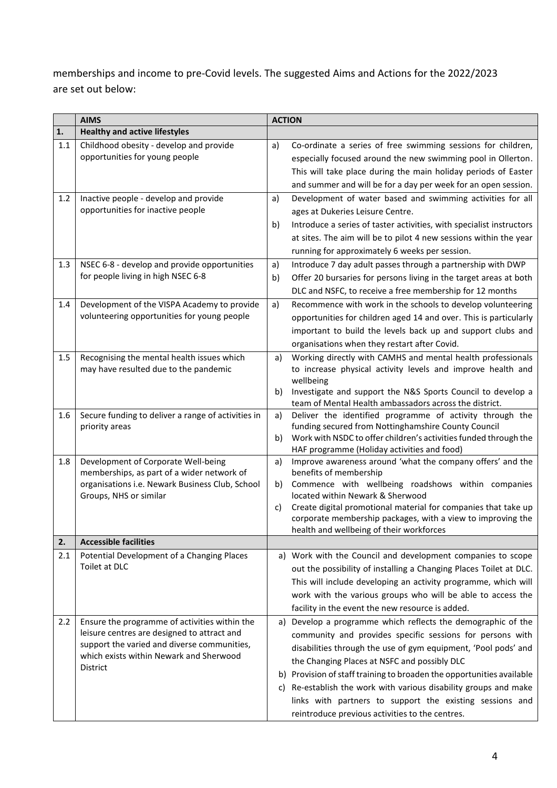memberships and income to pre-Covid levels. The suggested Aims and Actions for the 2022/2023 are set out below:

|     | <b>AIMS</b>                                                                                                                                                                                        |                | <b>ACTION</b>                                                                                                                                                                                                                                                                                                                                                                                                                                                                                     |  |  |
|-----|----------------------------------------------------------------------------------------------------------------------------------------------------------------------------------------------------|----------------|---------------------------------------------------------------------------------------------------------------------------------------------------------------------------------------------------------------------------------------------------------------------------------------------------------------------------------------------------------------------------------------------------------------------------------------------------------------------------------------------------|--|--|
| 1.  | <b>Healthy and active lifestyles</b>                                                                                                                                                               |                |                                                                                                                                                                                                                                                                                                                                                                                                                                                                                                   |  |  |
| 1.1 | Childhood obesity - develop and provide<br>opportunities for young people                                                                                                                          | a)             | Co-ordinate a series of free swimming sessions for children,<br>especially focused around the new swimming pool in Ollerton.<br>This will take place during the main holiday periods of Easter<br>and summer and will be for a day per week for an open session.                                                                                                                                                                                                                                  |  |  |
| 1.2 | Inactive people - develop and provide<br>opportunities for inactive people                                                                                                                         | a)<br>b)       | Development of water based and swimming activities for all<br>ages at Dukeries Leisure Centre.<br>Introduce a series of taster activities, with specialist instructors<br>at sites. The aim will be to pilot 4 new sessions within the year<br>running for approximately 6 weeks per session.                                                                                                                                                                                                     |  |  |
| 1.3 | NSEC 6-8 - develop and provide opportunities<br>for people living in high NSEC 6-8                                                                                                                 | a)<br>b)       | Introduce 7 day adult passes through a partnership with DWP<br>Offer 20 bursaries for persons living in the target areas at both<br>DLC and NSFC, to receive a free membership for 12 months                                                                                                                                                                                                                                                                                                      |  |  |
| 1.4 | Development of the VISPA Academy to provide<br>volunteering opportunities for young people                                                                                                         | a)             | Recommence with work in the schools to develop volunteering<br>opportunities for children aged 14 and over. This is particularly<br>important to build the levels back up and support clubs and<br>organisations when they restart after Covid.                                                                                                                                                                                                                                                   |  |  |
| 1.5 | Recognising the mental health issues which<br>may have resulted due to the pandemic                                                                                                                | a)<br>b)       | Working directly with CAMHS and mental health professionals<br>to increase physical activity levels and improve health and<br>wellbeing<br>Investigate and support the N&S Sports Council to develop a<br>team of Mental Health ambassadors across the district.                                                                                                                                                                                                                                  |  |  |
| 1.6 | Secure funding to deliver a range of activities in<br>priority areas                                                                                                                               | a)<br>b)       | Deliver the identified programme of activity through the<br>funding secured from Nottinghamshire County Council<br>Work with NSDC to offer children's activities funded through the<br>HAF programme (Holiday activities and food)                                                                                                                                                                                                                                                                |  |  |
| 1.8 | Development of Corporate Well-being<br>memberships, as part of a wider network of<br>organisations i.e. Newark Business Club, School<br>Groups, NHS or similar                                     | a)<br>b)<br>C) | Improve awareness around 'what the company offers' and the<br>benefits of membership<br>Commence with wellbeing roadshows within companies<br>located within Newark & Sherwood<br>Create digital promotional material for companies that take up<br>corporate membership packages, with a view to improving the<br>health and wellbeing of their workforces                                                                                                                                       |  |  |
| 2.  | <b>Accessible facilities</b>                                                                                                                                                                       |                |                                                                                                                                                                                                                                                                                                                                                                                                                                                                                                   |  |  |
| 2.1 | Potential Development of a Changing Places<br>Toilet at DLC                                                                                                                                        |                | a) Work with the Council and development companies to scope<br>out the possibility of installing a Changing Places Toilet at DLC.<br>This will include developing an activity programme, which will<br>work with the various groups who will be able to access the<br>facility in the event the new resource is added.                                                                                                                                                                            |  |  |
| 2.2 | Ensure the programme of activities within the<br>leisure centres are designed to attract and<br>support the varied and diverse communities,<br>which exists within Newark and Sherwood<br>District | a)<br>b)       | Develop a programme which reflects the demographic of the<br>community and provides specific sessions for persons with<br>disabilities through the use of gym equipment, 'Pool pods' and<br>the Changing Places at NSFC and possibly DLC<br>Provision of staff training to broaden the opportunities available<br>c) Re-establish the work with various disability groups and make<br>links with partners to support the existing sessions and<br>reintroduce previous activities to the centres. |  |  |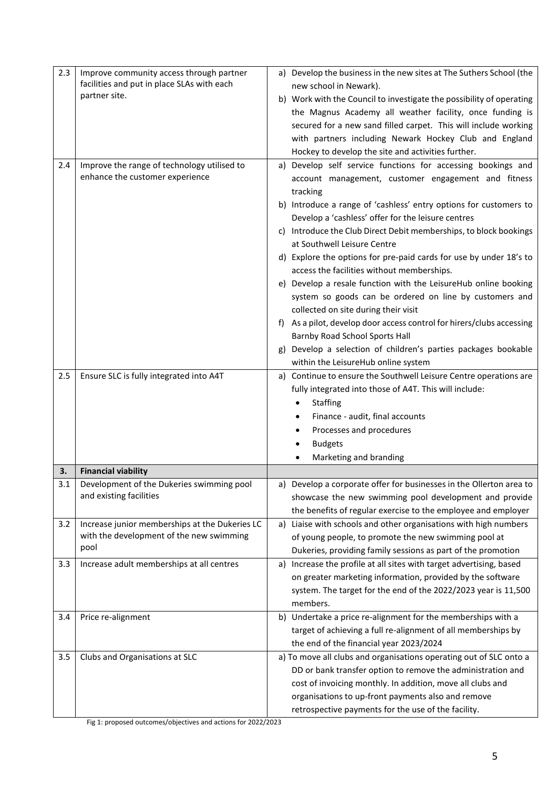| 2.3 | Improve community access through partner       |                                                                      | a) Develop the business in the new sites at The Suthers School (the                                                     |  |  |
|-----|------------------------------------------------|----------------------------------------------------------------------|-------------------------------------------------------------------------------------------------------------------------|--|--|
|     | facilities and put in place SLAs with each     |                                                                      | new school in Newark).                                                                                                  |  |  |
|     | partner site.                                  | b) Work with the Council to investigate the possibility of operating |                                                                                                                         |  |  |
|     |                                                | the Magnus Academy all weather facility, once funding is             |                                                                                                                         |  |  |
|     |                                                |                                                                      | secured for a new sand filled carpet. This will include working                                                         |  |  |
|     |                                                |                                                                      | with partners including Newark Hockey Club and England                                                                  |  |  |
|     |                                                |                                                                      | Hockey to develop the site and activities further.                                                                      |  |  |
| 2.4 | Improve the range of technology utilised to    |                                                                      | a) Develop self service functions for accessing bookings and                                                            |  |  |
|     | enhance the customer experience                |                                                                      | account management, customer engagement and fitness                                                                     |  |  |
|     |                                                |                                                                      | tracking                                                                                                                |  |  |
|     |                                                |                                                                      | b) Introduce a range of 'cashless' entry options for customers to<br>Develop a 'cashless' offer for the leisure centres |  |  |
|     |                                                |                                                                      | c) Introduce the Club Direct Debit memberships, to block bookings                                                       |  |  |
|     |                                                |                                                                      | at Southwell Leisure Centre                                                                                             |  |  |
|     |                                                |                                                                      | d) Explore the options for pre-paid cards for use by under 18's to                                                      |  |  |
|     |                                                |                                                                      | access the facilities without memberships.                                                                              |  |  |
|     |                                                |                                                                      | e) Develop a resale function with the LeisureHub online booking                                                         |  |  |
|     |                                                |                                                                      | system so goods can be ordered on line by customers and                                                                 |  |  |
|     |                                                |                                                                      | collected on site during their visit                                                                                    |  |  |
|     |                                                |                                                                      | As a pilot, develop door access control for hirers/clubs accessing<br>Barnby Road School Sports Hall                    |  |  |
|     |                                                |                                                                      | Develop a selection of children's parties packages bookable                                                             |  |  |
|     |                                                |                                                                      | within the LeisureHub online system                                                                                     |  |  |
| 2.5 | Ensure SLC is fully integrated into A4T        |                                                                      | a) Continue to ensure the Southwell Leisure Centre operations are                                                       |  |  |
|     |                                                |                                                                      | fully integrated into those of A4T. This will include:                                                                  |  |  |
|     |                                                |                                                                      | Staffing                                                                                                                |  |  |
|     |                                                |                                                                      | Finance - audit, final accounts                                                                                         |  |  |
|     |                                                |                                                                      | Processes and procedures                                                                                                |  |  |
|     |                                                |                                                                      | <b>Budgets</b>                                                                                                          |  |  |
|     |                                                |                                                                      | Marketing and branding                                                                                                  |  |  |
| 3.  | <b>Financial viability</b>                     |                                                                      |                                                                                                                         |  |  |
| 3.1 | Development of the Dukeries swimming pool      |                                                                      | a) Develop a corporate offer for businesses in the Ollerton area to                                                     |  |  |
|     | and existing facilities                        |                                                                      | showcase the new swimming pool development and provide                                                                  |  |  |
|     |                                                |                                                                      | the benefits of regular exercise to the employee and employer                                                           |  |  |
| 3.2 | Increase junior memberships at the Dukeries LC |                                                                      | a) Liaise with schools and other organisations with high numbers                                                        |  |  |
|     | with the development of the new swimming       |                                                                      | of young people, to promote the new swimming pool at                                                                    |  |  |
|     | pool                                           |                                                                      | Dukeries, providing family sessions as part of the promotion                                                            |  |  |
| 3.3 | Increase adult memberships at all centres      | a)                                                                   | Increase the profile at all sites with target advertising, based                                                        |  |  |
|     |                                                |                                                                      | on greater marketing information, provided by the software                                                              |  |  |
|     |                                                |                                                                      | system. The target for the end of the 2022/2023 year is 11,500                                                          |  |  |
|     |                                                |                                                                      | members.                                                                                                                |  |  |
| 3.4 | Price re-alignment                             |                                                                      | b) Undertake a price re-alignment for the memberships with a                                                            |  |  |
|     |                                                |                                                                      | target of achieving a full re-alignment of all memberships by                                                           |  |  |
|     |                                                |                                                                      | the end of the financial year 2023/2024                                                                                 |  |  |
| 3.5 | Clubs and Organisations at SLC                 |                                                                      | a) To move all clubs and organisations operating out of SLC onto a                                                      |  |  |
|     |                                                |                                                                      | DD or bank transfer option to remove the administration and                                                             |  |  |
|     |                                                |                                                                      | cost of invoicing monthly. In addition, move all clubs and                                                              |  |  |
|     |                                                |                                                                      | organisations to up-front payments also and remove                                                                      |  |  |
|     |                                                |                                                                      | retrospective payments for the use of the facility.                                                                     |  |  |

Fig 1: proposed outcomes/objectives and actions for 2022/2023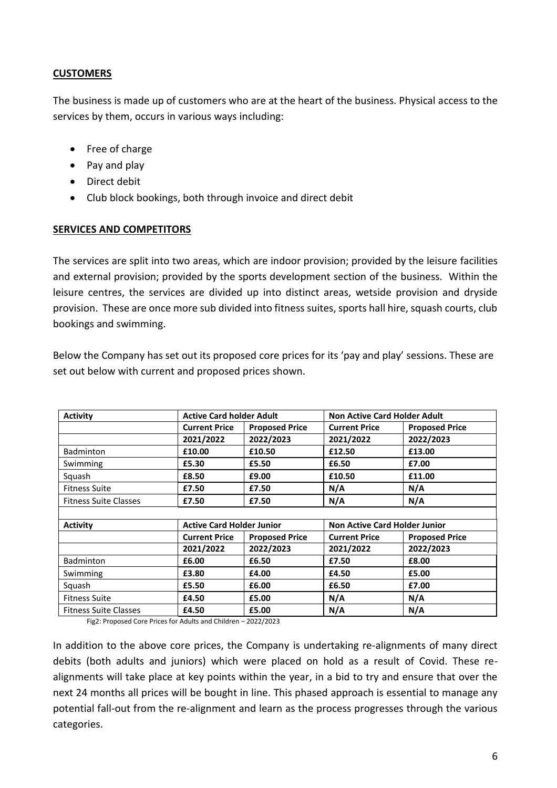#### **CUSTOMERS**

The business is made up of customers who are at the heart of the business. Physical access to the services by them, occurs in various ways including:

- Free of charge
- Pay and play
- Direct debit
- Club block bookings, both through invoice and direct debit

#### **SERVICES AND COMPETITORS**

The services are split into two areas, which are indoor provision; provided by the leisure facilities and external provision; provided by the sports development section of the business. Within the leisure centres, the services are divided up into distinct areas, wetside provision and dryside provision. These are once more sub divided into fitness suites, sports hall hire, squash courts, club bookings and swimming.

Below the Company has set out its proposed core prices for its 'pay and play' sessions. These are set out below with current and proposed prices shown.

| <b>Activity</b>              | <b>Active Card holder Adult</b>  |                       | <b>Non Active Card Holder Adult</b>  |                       |  |  |  |
|------------------------------|----------------------------------|-----------------------|--------------------------------------|-----------------------|--|--|--|
|                              | <b>Current Price</b>             | <b>Proposed Price</b> | <b>Current Price</b>                 | <b>Proposed Price</b> |  |  |  |
|                              | 2021/2022                        | 2022/2023             | 2021/2022                            | 2022/2023             |  |  |  |
| <b>Badminton</b>             | £10.00                           | £10.50                | £12.50                               | £13.00                |  |  |  |
| Swimming                     | £5.30                            | £5.50                 | £6.50                                | £7.00                 |  |  |  |
| Squash                       | £8.50                            | £9.00                 | £10.50                               | £11.00                |  |  |  |
| <b>Fitness Suite</b>         | £7.50                            | £7.50                 | N/A                                  | N/A                   |  |  |  |
| <b>Fitness Suite Classes</b> | £7.50                            | £7.50                 | N/A                                  | N/A                   |  |  |  |
|                              |                                  |                       |                                      |                       |  |  |  |
| <b>Activity</b>              | <b>Active Card Holder Junior</b> |                       | <b>Non Active Card Holder Junior</b> |                       |  |  |  |
|                              | <b>Current Price</b>             | <b>Proposed Price</b> | <b>Current Price</b>                 | <b>Proposed Price</b> |  |  |  |
|                              | 2021/2022                        | 2022/2023             | 2021/2022                            | 2022/2023             |  |  |  |
| <b>Badminton</b>             | £6.00                            | £6.50                 | £7.50                                | £8.00                 |  |  |  |
| Swimming                     | £3.80                            | £4.00                 | £4.50                                | £5.00                 |  |  |  |
| Squash                       | £5.50                            | £6.00                 | £6.50                                | £7.00                 |  |  |  |
| <b>Fitness Suite</b>         | £4.50                            | £5.00                 | N/A                                  | N/A                   |  |  |  |
| <b>Fitness Suite Classes</b> | £4.50                            | £5.00                 | N/A                                  | N/A                   |  |  |  |

Fig2: Proposed Core Prices for Adults and Children – 2022/2023

In addition to the above core prices, the Company is undertaking re-alignments of many direct debits (both adults and juniors) which were placed on hold as a result of Covid. These realignments will take place at key points within the year, in a bid to try and ensure that over the next 24 months all prices will be bought in line. This phased approach is essential to manage any potential fall-out from the re-alignment and learn as the process progresses through the various categories.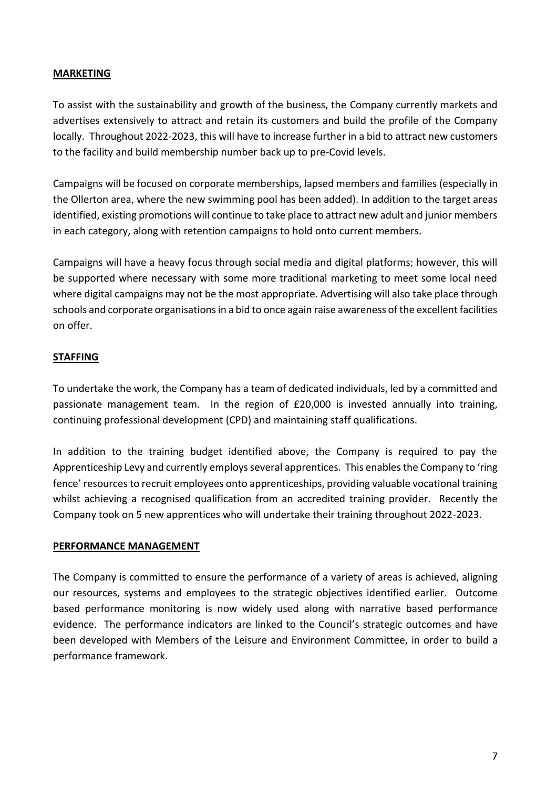#### **MARKETING**

To assist with the sustainability and growth of the business, the Company currently markets and advertises extensively to attract and retain its customers and build the profile of the Company locally. Throughout 2022-2023, this will have to increase further in a bid to attract new customers to the facility and build membership number back up to pre-Covid levels.

Campaigns will be focused on corporate memberships, lapsed members and families (especially in the Ollerton area, where the new swimming pool has been added). In addition to the target areas identified, existing promotions will continue to take place to attract new adult and junior members in each category, along with retention campaigns to hold onto current members.

Campaigns will have a heavy focus through social media and digital platforms; however, this will be supported where necessary with some more traditional marketing to meet some local need where digital campaigns may not be the most appropriate. Advertising will also take place through schools and corporate organisations in a bid to once again raise awareness of the excellent facilities on offer.

#### **STAFFING**

To undertake the work, the Company has a team of dedicated individuals, led by a committed and passionate management team. In the region of £20,000 is invested annually into training, continuing professional development (CPD) and maintaining staff qualifications.

In addition to the training budget identified above, the Company is required to pay the Apprenticeship Levy and currently employs several apprentices. This enables the Company to 'ring fence' resources to recruit employees onto apprenticeships, providing valuable vocational training whilst achieving a recognised qualification from an accredited training provider. Recently the Company took on 5 new apprentices who will undertake their training throughout 2022-2023.

#### **PERFORMANCE MANAGEMENT**

The Company is committed to ensure the performance of a variety of areas is achieved, aligning our resources, systems and employees to the strategic objectives identified earlier. Outcome based performance monitoring is now widely used along with narrative based performance evidence. The performance indicators are linked to the Council's strategic outcomes and have been developed with Members of the Leisure and Environment Committee, in order to build a performance framework.